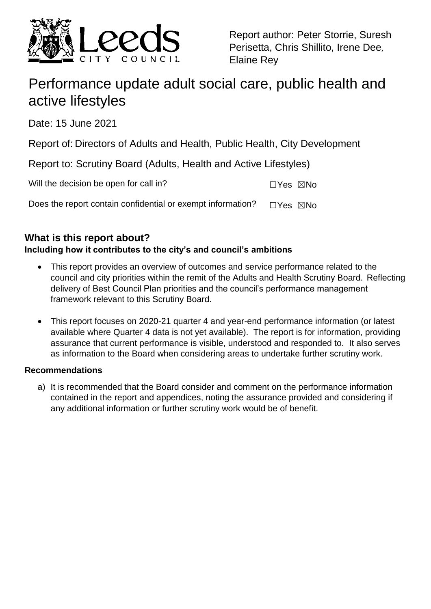

Report author: Peter Storrie, Suresh Perisetta, Chris Shillito, Irene Dee, Elaine Rey

# Performance update adult social care, public health and active lifestyles

Date: 15 June 2021

Report of: Directors of Adults and Health, Public Health, City Development

Report to: Scrutiny Board (Adults, Health and Active Lifestyles)

Will the decision be open for call in? ☐Yes ☒No

Does the report contain confidential or exempt information?  $□Yes \times No$ 

## **What is this report about?**

## **Including how it contributes to the city's and council's ambitions**

- This report provides an overview of outcomes and service performance related to the council and city priorities within the remit of the Adults and Health Scrutiny Board. Reflecting delivery of Best Council Plan priorities and the council's performance management framework relevant to this Scrutiny Board.
- This report focuses on 2020-21 quarter 4 and year-end performance information (or latest available where Quarter 4 data is not yet available). The report is for information, providing assurance that current performance is visible, understood and responded to. It also serves as information to the Board when considering areas to undertake further scrutiny work.

## **Recommendations**

a) It is recommended that the Board consider and comment on the performance information contained in the report and appendices, noting the assurance provided and considering if any additional information or further scrutiny work would be of benefit.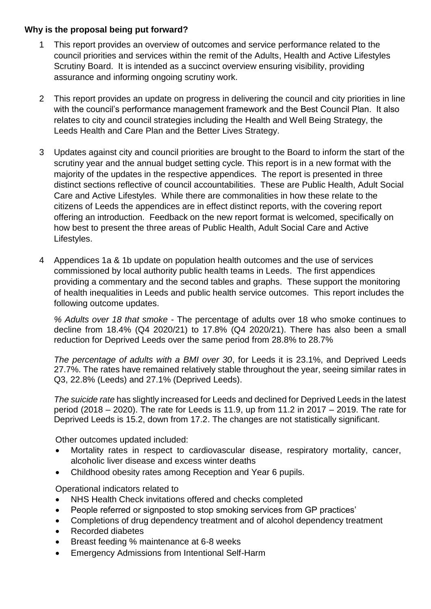#### **Why is the proposal being put forward?**

- 1 This report provides an overview of outcomes and service performance related to the council priorities and services within the remit of the Adults, Health and Active Lifestyles Scrutiny Board. It is intended as a succinct overview ensuring visibility, providing assurance and informing ongoing scrutiny work.
- 2 This report provides an update on progress in delivering the council and city priorities in line with the council's performance management framework and the Best Council Plan. It also relates to city and council strategies including the Health and Well Being Strategy, the Leeds Health and Care Plan and the Better Lives Strategy.
- 3 Updates against city and council priorities are brought to the Board to inform the start of the scrutiny year and the annual budget setting cycle. This report is in a new format with the majority of the updates in the respective appendices. The report is presented in three distinct sections reflective of council accountabilities. These are Public Health, Adult Social Care and Active Lifestyles. While there are commonalities in how these relate to the citizens of Leeds the appendices are in effect distinct reports, with the covering report offering an introduction. Feedback on the new report format is welcomed, specifically on how best to present the three areas of Public Health, Adult Social Care and Active Lifestyles.
- 4 Appendices 1a & 1b update on population health outcomes and the use of services commissioned by local authority public health teams in Leeds. The first appendices providing a commentary and the second tables and graphs. These support the monitoring of health inequalities in Leeds and public health service outcomes. This report includes the following outcome updates.

*% Adults over 18 that smoke* - The percentage of adults over 18 who smoke continues to decline from 18.4% (Q4 2020/21) to 17.8% (Q4 2020/21). There has also been a small reduction for Deprived Leeds over the same period from 28.8% to 28.7%

*The percentage of adults with a BMI over 30*, for Leeds it is 23.1%, and Deprived Leeds 27.7%. The rates have remained relatively stable throughout the year, seeing similar rates in Q3, 22.8% (Leeds) and 27.1% (Deprived Leeds).

*The suicide rate* has slightly increased for Leeds and declined for Deprived Leeds in the latest period (2018 – 2020). The rate for Leeds is 11.9, up from 11.2 in 2017 – 2019. The rate for Deprived Leeds is 15.2, down from 17.2. The changes are not statistically significant.

Other outcomes updated included:

- Mortality rates in respect to cardiovascular disease, respiratory mortality, cancer, alcoholic liver disease and excess winter deaths
- Childhood obesity rates among Reception and Year 6 pupils.

Operational indicators related to

- NHS Health Check invitations offered and checks completed
- People referred or signposted to stop smoking services from GP practices'
- Completions of drug dependency treatment and of alcohol dependency treatment
- Recorded diabetes
- Breast feeding % maintenance at 6-8 weeks
- Emergency Admissions from Intentional Self-Harm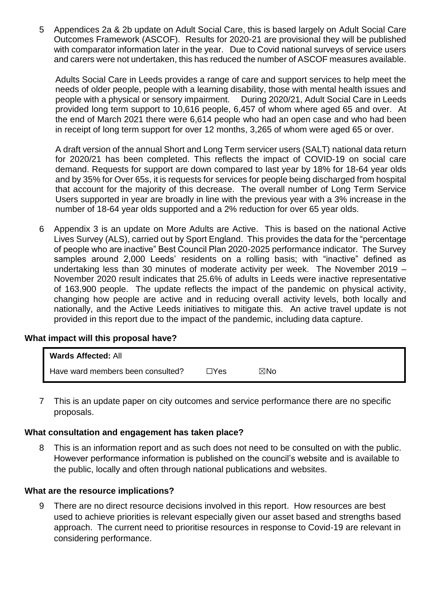5 Appendices 2a & 2b update on Adult Social Care, this is based largely on Adult Social Care Outcomes Framework (ASCOF). Results for 2020-21 are provisional they will be published with comparator information later in the year. Due to Covid national surveys of service users and carers were not undertaken, this has reduced the number of ASCOF measures available.

Adults Social Care in Leeds provides a range of care and support services to help meet the needs of older people, people with a learning disability, those with mental health issues and people with a physical or sensory impairment. During 2020/21, Adult Social Care in Leeds provided long term support to 10,616 people, 6,457 of whom where aged 65 and over. At the end of March 2021 there were 6,614 people who had an open case and who had been in receipt of long term support for over 12 months, 3,265 of whom were aged 65 or over.

A draft version of the annual Short and Long Term servicer users (SALT) national data return for 2020/21 has been completed. This reflects the impact of COVID-19 on social care demand. Requests for support are down compared to last year by 18% for 18-64 year olds and by 35% for Over 65s, it is requests for services for people being discharged from hospital that account for the majority of this decrease. The overall number of Long Term Service Users supported in year are broadly in line with the previous year with a 3% increase in the number of 18-64 year olds supported and a 2% reduction for over 65 year olds.

6 Appendix 3 is an update on More Adults are Active. This is based on the national Active Lives Survey (ALS), carried out by Sport England. This provides the data for the "percentage of people who are inactive" Best Council Plan 2020-2025 performance indicator. The Survey samples around 2,000 Leeds' residents on a rolling basis; with "inactive" defined as undertaking less than 30 minutes of moderate activity per week. The November 2019 – November 2020 result indicates that 25.6% of adults in Leeds were inactive representative of 163,900 people. The update reflects the impact of the pandemic on physical activity, changing how people are active and in reducing overall activity levels, both locally and nationally, and the Active Leeds initiatives to mitigate this. An active travel update is not provided in this report due to the impact of the pandemic, including data capture.

#### **What impact will this proposal have?**

| <b>Wards Affected: All</b>        |      |     |
|-----------------------------------|------|-----|
| Have ward members been consulted? | ⊐Yes | ⊠No |

7 This is an update paper on city outcomes and service performance there are no specific proposals.

#### **What consultation and engagement has taken place?**

8 This is an information report and as such does not need to be consulted on with the public. However performance information is published on the council's website and is available to the public, locally and often through national publications and websites.

#### **What are the resource implications?**

9 There are no direct resource decisions involved in this report. How resources are best used to achieve priorities is relevant especially given our asset based and strengths based approach. The current need to prioritise resources in response to Covid-19 are relevant in considering performance.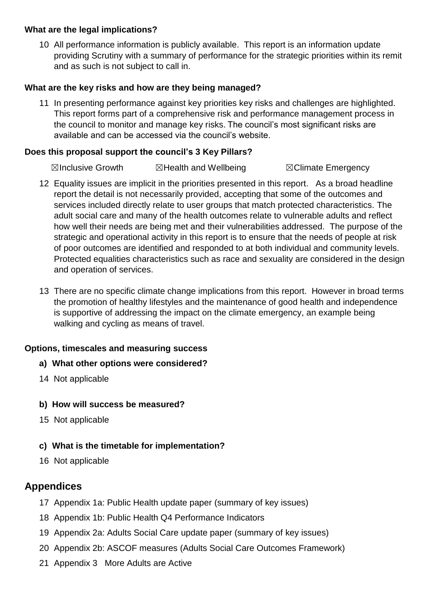#### **What are the legal implications?**

10 All performance information is publicly available. This report is an information update providing Scrutiny with a summary of performance for the strategic priorities within its remit and as such is not subject to call in.

#### **What are the key risks and how are they being managed?**

11 In presenting performance against key priorities key risks and challenges are highlighted. This report forms part of a comprehensive risk and performance management process in the council to monitor and manage key risks. The council's most significant risks are available and can be accessed via the council's website.

#### **Does this proposal support the council's 3 Key Pillars?**

**⊠Inclusive Growth ■ ⊠Health and Wellbeing ■ ■ ⊠Climate Emergency** 

- 12 Equality issues are implicit in the priorities presented in this report. As a broad headline report the detail is not necessarily provided, accepting that some of the outcomes and services included directly relate to user groups that match protected characteristics. The adult social care and many of the health outcomes relate to vulnerable adults and reflect how well their needs are being met and their vulnerabilities addressed. The purpose of the strategic and operational activity in this report is to ensure that the needs of people at risk of poor outcomes are identified and responded to at both individual and community levels. Protected equalities characteristics such as race and sexuality are considered in the design and operation of services.
- 13 There are no specific climate change implications from this report. However in broad terms the promotion of healthy lifestyles and the maintenance of good health and independence is supportive of addressing the impact on the climate emergency, an example being walking and cycling as means of travel.

#### **Options, timescales and measuring success**

#### **a) What other options were considered?**

- 14 Not applicable
- **b) How will success be measured?**
- 15 Not applicable

## **c) What is the timetable for implementation?**

16 Not applicable

## **Appendices**

- 17 Appendix 1a: Public Health update paper (summary of key issues)
- 18 Appendix 1b: Public Health Q4 Performance Indicators
- 19 Appendix 2a: Adults Social Care update paper (summary of key issues)
- 20 Appendix 2b: ASCOF measures (Adults Social Care Outcomes Framework)
- 21 Appendix 3 More Adults are Active